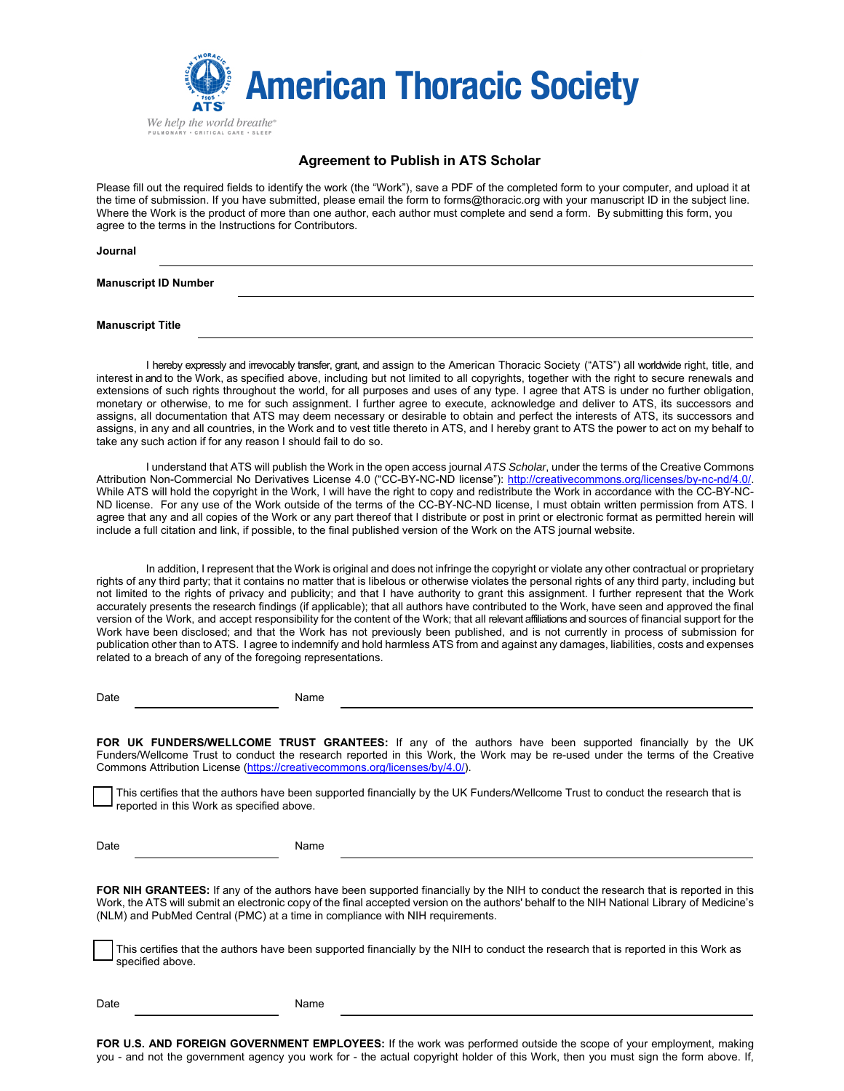

## **Agreement to Publish in ATS Scholar**

Please fill out the required fields to identify the work (the "Work"), save a PDF of the completed form to your computer, and upload it at the time of submission. If you have submitted, please email the form to forms@thoracic.org with your manuscript ID in the subject line. Where the Work is the product of more than one author, each author must complete and send a form. By submitting this form, you agree to the terms in the Instructions for Contributors.

**Journal** 

**Manuscript ID Number** 

**Manuscript Title** 

I hereby expressly and irrevocably transfer, grant, and assign to the American Thoracic Society ("ATS") all worldwide right, title, and interest in and to the Work, as specified above, including but not limited to all copyrights, together with the right to secure renewals and extensions of such rights throughout the world, for all purposes and uses of any type. I agree that ATS is under no further obligation, monetary or otherwise, to me for such assignment. I further agree to execute, acknowledge and deliver to ATS, its successors and assigns, all documentation that ATS may deem necessary or desirable to obtain and perfect the interests of ATS, its successors and assigns, in any and all countries, in the Work and to vest title thereto in ATS, and I hereby grant to ATS the power to act on my behalf to take any such action if for any reason I should fail to do so.

I understand that ATS will publish the Work in the open access journal *ATS Scholar*, under the terms of the Creative Commons Attribution Non-Commercial No Derivatives License 4.0 ("CC-BY-NC-ND license"): http://creativecommons.org/licenses/by-nc-nd/4.0/. While ATS will hold the copyright in the Work, I will have the right to copy and redistribute the Work in accordance with the CC-BY-NC-ND license. For any use of the Work outside of the terms of the CC-BY-NC-ND license, I must obtain written permission from ATS. I agree that any and all copies of the Work or any part thereof that I distribute or post in print or electronic format as permitted herein will include a full citation and link, if possible, to the final published version of the Work on the ATS journal website.

In addition, I represent that the Work is original and does not infringe the copyright or violate any other contractual or proprietary rights of any third party; that it contains no matter that is libelous or otherwise violates the personal rights of any third party, including but not limited to the rights of privacy and publicity; and that I have authority to grant this assignment. I further represent that the Work accurately presents the research findings (if applicable); that all authors have contributed to the Work, have seen and approved the final version of the Work, and accept responsibility for the content of the Work; that all relevant affiliations and sources of financial support for the Work have been disclosed; and that the Work has not previously been published, and is not currently in process of submission for publication other than to ATS. I agree to indemnify and hold harmless ATS from and against any damages, liabilities, costs and expenses related to a breach of any of the foregoing representations.

Date **Name** Name

**FOR UK FUNDERS/WELLCOME TRUST GRANTEES:** If any of the authors have been supported financially by the UK Funders/Wellcome Trust to conduct the research reported in this Work, the Work may be re-used under the terms of the Creative Commons Attribution License (https://creativecommons.org/licenses/by/4.0/).

This certifies that the authors have been supported financially by the UK Funders/Wellcome Trust to conduct the research that is reported in this Work as specified above.

Date **Name** Name

**FOR NIH GRANTEES:** If any of the authors have been supported financially by the NIH to conduct the research that is reported in this Work, the ATS will submit an electronic copy of the final accepted version on the authors' behalf to the NIH National Library of Medicine's (NLM) and PubMed Central (PMC) at a time in compliance with NIH requirements.

This certifies that the authors have been supported financially by the NIH to conduct the research that is reported in this Work as specified above.

Date **Name** 

**FOR U.S. AND FOREIGN GOVERNMENT EMPLOYEES:** If the work was performed outside the scope of your employment, making you - and not the government agency you work for - the actual copyright holder of this Work, then you must sign the form above. If,